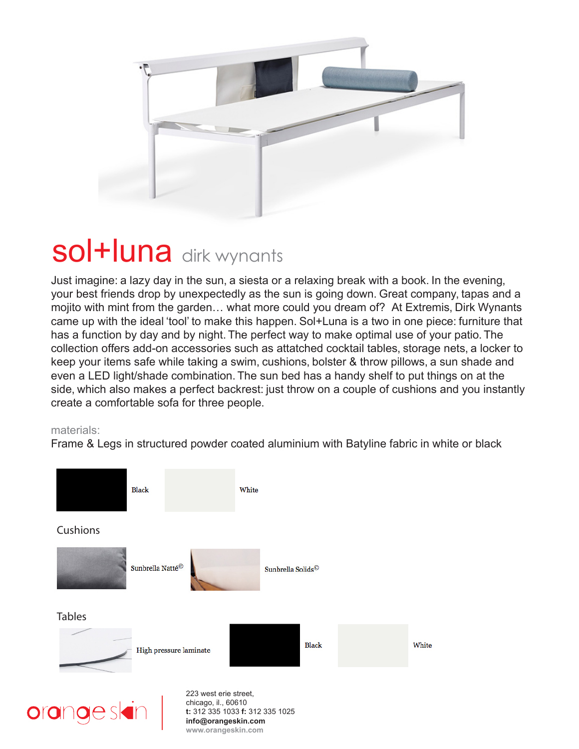

# sol+luna dirk wynants

Just imagine: a lazy day in the sun, a siesta or a relaxing break with a book. In the evening, your best friends drop by unexpectedly as the sun is going down. Great company, tapas and a mojito with mint from the garden… what more could you dream of? At Extremis, Dirk Wynants came up with the ideal 'tool' to make this happen. Sol+Luna is a two in one piece: furniture that has a function by day and by night. The perfect way to make optimal use of your patio. The collection offers add-on accessories such as attatched cocktail tables, storage nets, a locker to keep your items safe while taking a swim, cushions, bolster & throw pillows, a sun shade and even a LED light/shade combination. The sun bed has a handy shelf to put things on at the side, which also makes a perfect backrest: just throw on a couple of cushions and you instantly create a comfortable sofa for three people.

#### materials:

Frame & Legs in structured powder coated aluminium with Batyline fabric in white or black





223 west erie street, chicago, il., 60610 **t:** 312 335 1033 **f:** 312 335 1025 **info@orangeskin.com www.orangeskin.com**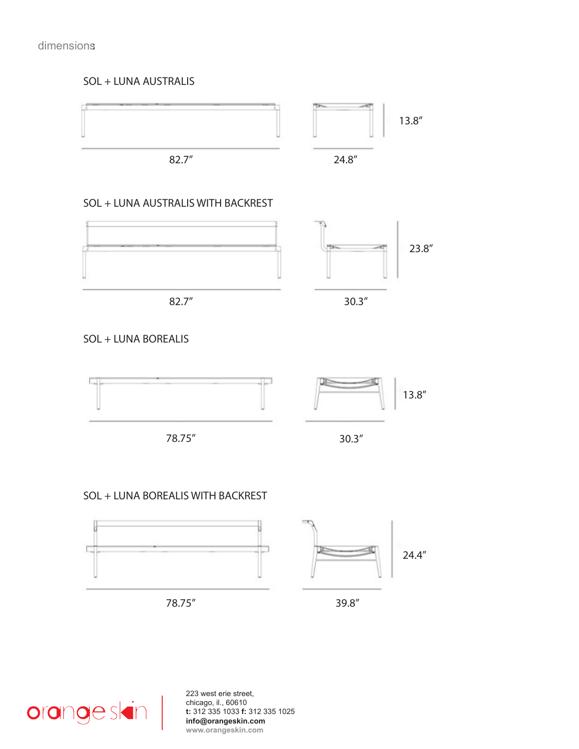## dimensions:

#### SOL + LUNA AUSTRALIS



SOL + LUNA BOREALIS



78.75"





## SOL + LUNA BOREALIS WITH BACKREST







39.8"



223 west erie street, chicago, il., 60610 **t:** 312 335 1033 **f:** 312 335 1025 **info@orangeskin.com www.orangeskin.com**